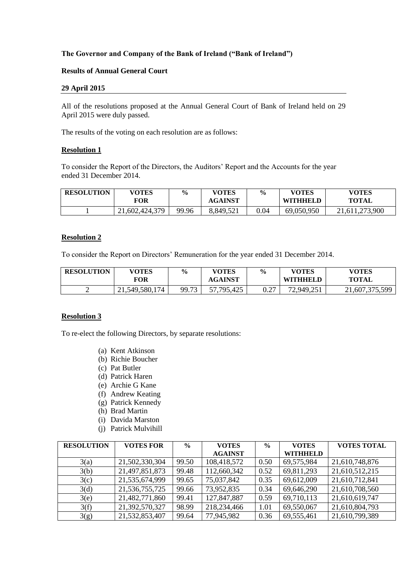### **The Governor and Company of the Bank of Ireland ("Bank of Ireland")**

#### **Results of Annual General Court**

#### **29 April 2015**

All of the resolutions proposed at the Annual General Court of Bank of Ireland held on 29 April 2015 were duly passed.

The results of the voting on each resolution are as follows:

#### **Resolution 1**

To consider the Report of the Directors, the Auditors' Report and the Accounts for the year ended 31 December 2014.

| <b>RESOLUTION</b> | <b>VOTES</b><br><b>FOR</b> | $\frac{0}{0}$ | <b>VOTES</b><br><b>AGAINST</b> | $\frac{6}{9}$ | <b>VOTES</b><br><b>WITHHELD</b> | VOTES<br><b>TOTAL</b> |
|-------------------|----------------------------|---------------|--------------------------------|---------------|---------------------------------|-----------------------|
|                   | 21,602,424,379             | 99.96         | 8,849,521                      | $\rm 0.04$    | 69,050,950                      | 21,611,273,900        |

#### **Resolution 2**

To consider the Report on Directors' Remuneration for the year ended 31 December 2014.

| <b>RESOLUTION</b> | <b>VOTES</b><br>FOR | $\frac{0}{0}$ | <b>VOTES</b><br><b>AGAINST</b> | $\frac{6}{9}$ | <b>VOTES</b><br><b>WITHHELD</b> | <b>VOTES</b><br><b>TOTAL</b>       |
|-------------------|---------------------|---------------|--------------------------------|---------------|---------------------------------|------------------------------------|
| ∽                 | 21,549,580,174      | 99.73         | 57,795,425                     | 0.27          | 72,949,251                      | $\angle 1,607,375,59$ <sup>o</sup> |

#### **Resolution 3**

To re-elect the following Directors, by separate resolutions:

- (a) Kent Atkinson
- (b) Richie Boucher
- (c) Pat Butler
- (d) Patrick Haren
- (e) Archie G Kane
- (f) Andrew Keating
- (g) Patrick Kennedy
- (h) Brad Martin
- (i) Davida Marston
- (j) Patrick Mulvihill

| <b>RESOLUTION</b> | <b>VOTES FOR</b> | $\frac{0}{0}$ | <b>VOTES</b>   | $\frac{0}{0}$ | <b>VOTES</b>    | <b>VOTES TOTAL</b> |
|-------------------|------------------|---------------|----------------|---------------|-----------------|--------------------|
|                   |                  |               | <b>AGAINST</b> |               | <b>WITHHELD</b> |                    |
| 3(a)              | 21,502,330,304   | 99.50         | 108,418,572    | 0.50          | 69,575,984      | 21,610,748,876     |
| 3(b)              | 21,497,851,873   | 99.48         | 112,660,342    | 0.52          | 69,811,293      | 21,610,512,215     |
| 3(c)              | 21,535,674,999   | 99.65         | 75,037,842     | 0.35          | 69,612,009      | 21,610,712,841     |
| 3(d)              | 21,536,755,725   | 99.66         | 73,952,835     | 0.34          | 69,646,290      | 21,610,708,560     |
| 3(e)              | 21,482,771,860   | 99.41         | 127,847,887    | 0.59          | 69,710,113      | 21,610,619,747     |
| 3(f)              | 21,392,570,327   | 98.99         | 218,234,466    | 1.01          | 69,550,067      | 21,610,804,793     |
| 3(g)              | 21,532,853,407   | 99.64         | 77,945,982     | 0.36          | 69,555,461      | 21,610,799,389     |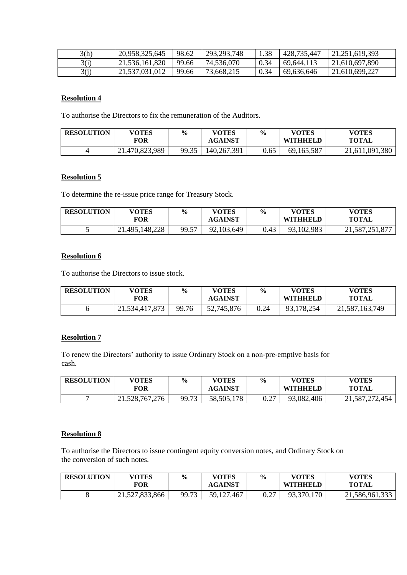| 3(h) | 20,958,325,645 | 98.62 | 293, 293, 748 | 1.38 | 428,735,447 | 21,251,619,393 |
|------|----------------|-------|---------------|------|-------------|----------------|
| 3(i) | 21,536,161,820 | 99.66 | 74,536,070    | 0.34 | 69,644,113  | 21,610,697,890 |
| 3(j) | 21,537,031,012 | 99.66 | 73,668,215    | 0.34 | 69,636,646  | 21,610,699,227 |

# **Resolution 4**

To authorise the Directors to fix the remuneration of the Auditors.

| <b>RESOLUTION</b> | <b>VOTES</b><br>FOR | $\frac{6}{9}$ | <b>VOTES</b><br><b>AGAINST</b> | $\frac{6}{9}$ | VOTES<br><b>WITHHELD</b> | <b>VOTES</b><br><b>TOTAL</b> |
|-------------------|---------------------|---------------|--------------------------------|---------------|--------------------------|------------------------------|
|                   | 21,470,823,989      | 99.35         | 140,267,391                    | 0.65          | 69,165,587               | 21,611,091,380               |

## **Resolution 5**

To determine the re-issue price range for Treasury Stock.

| <b>RESOLUTION</b> | <b>VOTES</b><br>FOR | $\frac{6}{9}$ | <b>VOTES</b><br><b>AGAINST</b> | $\frac{0}{0}$ | <b>VOTES</b><br><b>WITHHELD</b> | <b>VOTES</b><br><b>TOTAL</b> |
|-------------------|---------------------|---------------|--------------------------------|---------------|---------------------------------|------------------------------|
|                   | 21,495,148,228      | 99.57         | 92,103,649                     | 0.43          | 93,102,983                      | 21,587,251,877               |

### **Resolution 6**

To authorise the Directors to issue stock.

| <b>RESOLUTION</b> | <b>VOTES</b><br>FOR | $\frac{6}{9}$ | <b>VOTES</b><br><b>AGAINST</b> | $\frac{6}{9}$ | <b>VOTES</b><br><b>WITHHELD</b> | VOTES<br><b>TOTAL</b> |
|-------------------|---------------------|---------------|--------------------------------|---------------|---------------------------------|-----------------------|
|                   | 21,534,417,873      | 99.76         | 52,745,876                     | 0.24          | 93,178,254                      | 21,587,163,749        |

# **Resolution 7**

To renew the Directors' authority to issue Ordinary Stock on a non-pre-emptive basis for cash.

| <b>RESOLUTION</b> | <b>VOTES</b><br><b>FOR</b> | $\frac{6}{6}$ | <b>VOTES</b><br><b>AGAINST</b> | $\frac{0}{0}$ | <b>VOTES</b><br><b>WITHHELD</b> | <b>VOTES</b><br><b>TOTAL</b> |
|-------------------|----------------------------|---------------|--------------------------------|---------------|---------------------------------|------------------------------|
|                   | 21,528,767,276             | 99.73         | 178<br>58,505,1                | ∩ ∩¬<br>V.Z   | 93,082,406                      | 21,587,272,454               |

# **Resolution 8**

To authorise the Directors to issue contingent equity conversion notes, and Ordinary Stock on the conversion of such notes.

| <b>RESOLUTION</b> | <b>VOTES</b><br><b>TOR</b> | $\frac{6}{6}$ | <b>VOTES</b><br><b>AGAINST</b> | $\frac{6}{6}$ | <b>VOTES</b><br>WITHHELL | <b>VOTES</b><br><b>TOTAL</b> |
|-------------------|----------------------------|---------------|--------------------------------|---------------|--------------------------|------------------------------|
|                   | 21,527,833,866             | 99.73         | 59,127<br>.467                 | ∩ ∩¬<br>U.∠ I | 93,370,170<br>03.        | 21,586,961,333               |